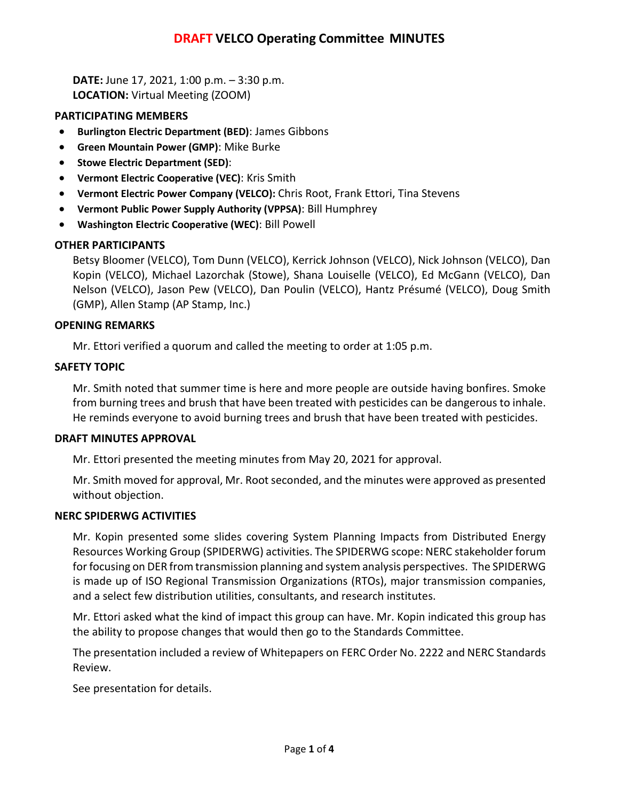**DATE:** June 17, 2021, 1:00 p.m. – 3:30 p.m. **LOCATION:** Virtual Meeting (ZOOM)

## **PARTICIPATING MEMBERS**

- **Burlington Electric Department (BED)**: James Gibbons
- **Green Mountain Power (GMP)**: Mike Burke
- **Stowe Electric Department (SED)**:
- **Vermont Electric Cooperative (VEC)**: Kris Smith
- **Vermont Electric Power Company (VELCO):** Chris Root, Frank Ettori, Tina Stevens
- **Vermont Public Power Supply Authority (VPPSA)**: Bill Humphrey
- **Washington Electric Cooperative (WEC)**: Bill Powell

## **OTHER PARTICIPANTS**

Betsy Bloomer (VELCO), Tom Dunn (VELCO), Kerrick Johnson (VELCO), Nick Johnson (VELCO), Dan Kopin (VELCO), Michael Lazorchak (Stowe), Shana Louiselle (VELCO), Ed McGann (VELCO), Dan Nelson (VELCO), Jason Pew (VELCO), Dan Poulin (VELCO), Hantz Présumé (VELCO), Doug Smith (GMP), Allen Stamp (AP Stamp, Inc.)

## **OPENING REMARKS**

Mr. Ettori verified a quorum and called the meeting to order at 1:05 p.m.

## **SAFETY TOPIC**

Mr. Smith noted that summer time is here and more people are outside having bonfires. Smoke from burning trees and brush that have been treated with pesticides can be dangerous to inhale. He reminds everyone to avoid burning trees and brush that have been treated with pesticides.

#### **DRAFT MINUTES APPROVAL**

Mr. Ettori presented the meeting minutes from May 20, 2021 for approval.

Mr. Smith moved for approval, Mr. Root seconded, and the minutes were approved as presented without objection.

#### **NERC SPIDERWG ACTIVITIES**

Mr. Kopin presented some slides covering System Planning Impacts from Distributed Energy Resources Working Group (SPIDERWG) activities. The SPIDERWG scope: NERC stakeholder forum for focusing on DER from transmission planning and system analysis perspectives. The SPIDERWG is made up of ISO Regional Transmission Organizations (RTOs), major transmission companies, and a select few distribution utilities, consultants, and research institutes.

Mr. Ettori asked what the kind of impact this group can have. Mr. Kopin indicated this group has the ability to propose changes that would then go to the Standards Committee.

The presentation included a review of Whitepapers on FERC Order No. 2222 and NERC Standards Review.

See presentation for details.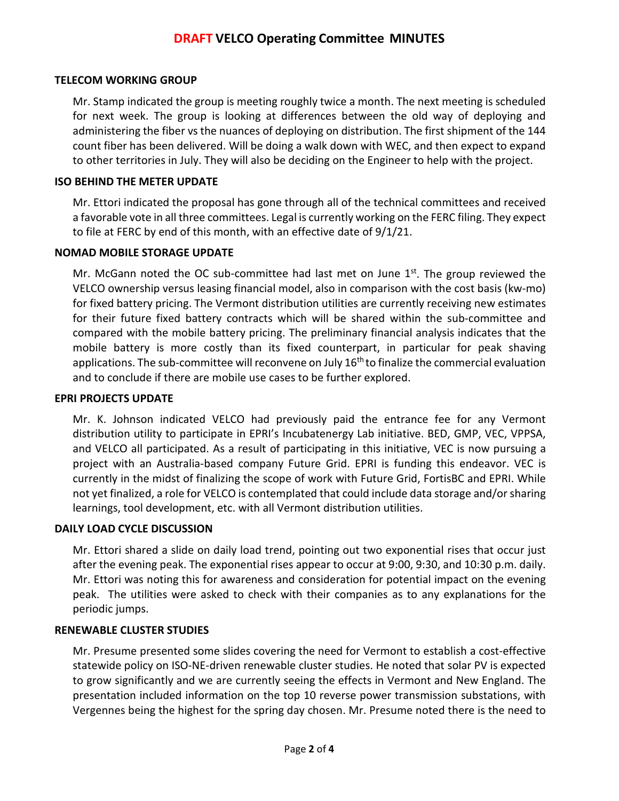## **TELECOM WORKING GROUP**

Mr. Stamp indicated the group is meeting roughly twice a month. The next meeting is scheduled for next week. The group is looking at differences between the old way of deploying and administering the fiber vs the nuances of deploying on distribution. The first shipment of the 144 count fiber has been delivered. Will be doing a walk down with WEC, and then expect to expand to other territories in July. They will also be deciding on the Engineer to help with the project.

## **ISO BEHIND THE METER UPDATE**

Mr. Ettori indicated the proposal has gone through all of the technical committees and received a favorable vote in all three committees. Legal is currently working on the FERC filing. They expect to file at FERC by end of this month, with an effective date of 9/1/21.

#### **NOMAD MOBILE STORAGE UPDATE**

Mr. McGann noted the OC sub-committee had last met on June  $1<sup>st</sup>$ . The group reviewed the VELCO ownership versus leasing financial model, also in comparison with the cost basis (kw-mo) for fixed battery pricing. The Vermont distribution utilities are currently receiving new estimates for their future fixed battery contracts which will be shared within the sub-committee and compared with the mobile battery pricing. The preliminary financial analysis indicates that the mobile battery is more costly than its fixed counterpart, in particular for peak shaving applications. The sub-committee will reconvene on July 16<sup>th</sup> to finalize the commercial evaluation and to conclude if there are mobile use cases to be further explored.

#### **EPRI PROJECTS UPDATE**

Mr. K. Johnson indicated VELCO had previously paid the entrance fee for any Vermont distribution utility to participate in EPRI's Incubatenergy Lab initiative. BED, GMP, VEC, VPPSA, and VELCO all participated. As a result of participating in this initiative, VEC is now pursuing a project with an Australia-based company Future Grid. EPRI is funding this endeavor. VEC is currently in the midst of finalizing the scope of work with Future Grid, FortisBC and EPRI. While not yet finalized, a role for VELCO is contemplated that could include data storage and/or sharing learnings, tool development, etc. with all Vermont distribution utilities.

#### **DAILY LOAD CYCLE DISCUSSION**

Mr. Ettori shared a slide on daily load trend, pointing out two exponential rises that occur just after the evening peak. The exponential rises appear to occur at 9:00, 9:30, and 10:30 p.m. daily. Mr. Ettori was noting this for awareness and consideration for potential impact on the evening peak. The utilities were asked to check with their companies as to any explanations for the periodic jumps.

#### **RENEWABLE CLUSTER STUDIES**

Mr. Presume presented some slides covering the need for Vermont to establish a cost-effective statewide policy on ISO-NE-driven renewable cluster studies. He noted that solar PV is expected to grow significantly and we are currently seeing the effects in Vermont and New England. The presentation included information on the top 10 reverse power transmission substations, with Vergennes being the highest for the spring day chosen. Mr. Presume noted there is the need to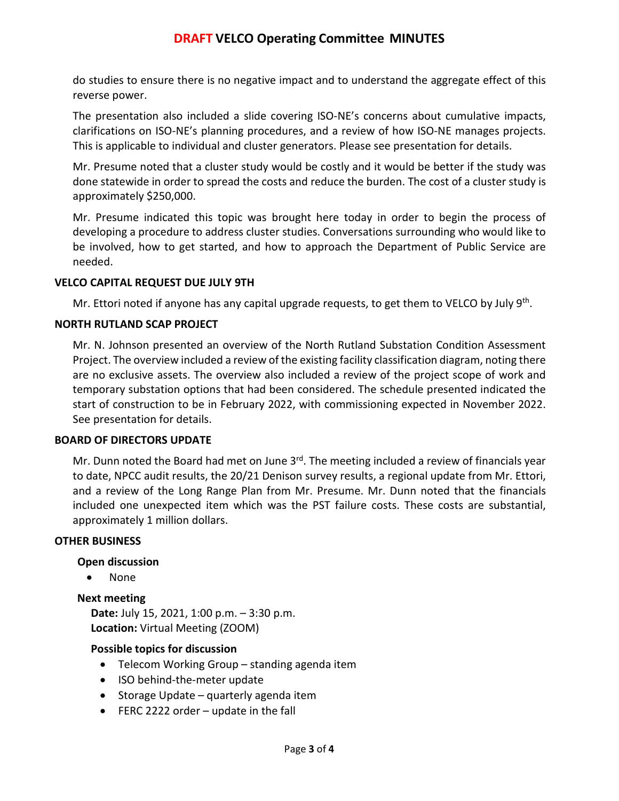do studies to ensure there is no negative impact and to understand the aggregate effect of this reverse power.

The presentation also included a slide covering ISO-NE's concerns about cumulative impacts, clarifications on ISO-NE's planning procedures, and a review of how ISO-NE manages projects. This is applicable to individual and cluster generators. Please see presentation for details.

Mr. Presume noted that a cluster study would be costly and it would be better if the study was done statewide in order to spread the costs and reduce the burden. The cost of a cluster study is approximately \$250,000.

Mr. Presume indicated this topic was brought here today in order to begin the process of developing a procedure to address cluster studies. Conversations surrounding who would like to be involved, how to get started, and how to approach the Department of Public Service are needed.

## **VELCO CAPITAL REQUEST DUE JULY 9TH**

Mr. Ettori noted if anyone has any capital upgrade requests, to get them to VELCO by July  $9<sup>th</sup>$ .

## **NORTH RUTLAND SCAP PROJECT**

Mr. N. Johnson presented an overview of the North Rutland Substation Condition Assessment Project. The overview included a review of the existing facility classification diagram, noting there are no exclusive assets. The overview also included a review of the project scope of work and temporary substation options that had been considered. The schedule presented indicated the start of construction to be in February 2022, with commissioning expected in November 2022. See presentation for details.

#### **BOARD OF DIRECTORS UPDATE**

Mr. Dunn noted the Board had met on June  $3<sup>rd</sup>$ . The meeting included a review of financials year to date, NPCC audit results, the 20/21 Denison survey results, a regional update from Mr. Ettori, and a review of the Long Range Plan from Mr. Presume. Mr. Dunn noted that the financials included one unexpected item which was the PST failure costs. These costs are substantial, approximately 1 million dollars.

#### **OTHER BUSINESS**

## **Open discussion**

• None

#### **Next meeting**

**Date:** July 15, 2021, 1:00 p.m. – 3:30 p.m. **Location:** Virtual Meeting (ZOOM)

#### **Possible topics for discussion**

- Telecom Working Group standing agenda item
- ISO behind-the-meter update
- Storage Update quarterly agenda item
- FERC 2222 order update in the fall